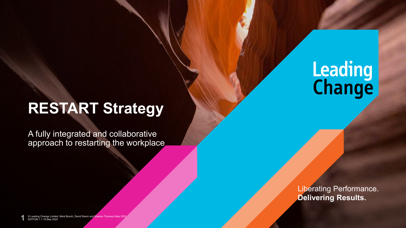# **RESTART Strategy**

A fully integrated and collaborative approach to restarting the workplace

> Liberating Performance. **Delivering Results.**

**Leading**<br>**Change** 

EDITION 1.1 19 May 2020 © Leading Change Limited, Mark Bouch, David Slavin and Sheena Thomson May 2020 **1**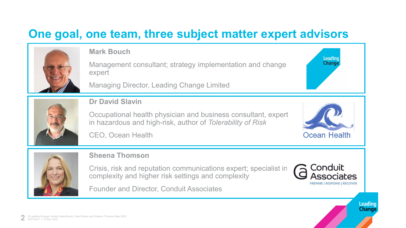## **One goal, one team, three subject matter expert advisors**



#### **Mark Bouch**

Management consultant; strategy implementation and change expert

Managing Director, Leading Change Limited



**Dr David Slavin**

Occupational health physician and business consultant, expert in hazardous and high-risk, author of *Tolerability of Risk*



Leading **Change** 

CEO, Ocean Health



#### **Sheena Thomson**

Crisis, risk and reputation communications expert; specialist in complexity and higher risk settings and complexity

Founder and Director, Conduit Associates



Leading **Change**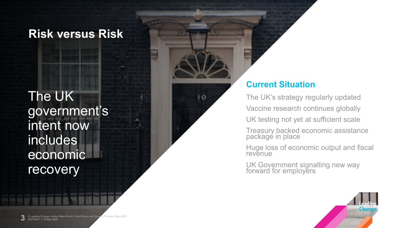#### **Risk versus Risk**

The UK government's intent now includes economic recovery

#### **Current Situation**

 $1<sub>O</sub>$ 

The UK's strategy regularly updated Vaccine research continues globally UK testing not yet at sufficient scale Treasury backed economic assistance packagé in place

Huge loss of economic output and fiscal revenue

UK Government signalling new way forward for employers

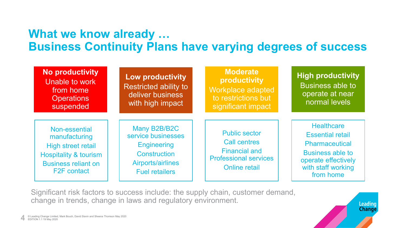## **What we know already … Business Continuity Plans have varying degrees of success**

| <b>No productivity</b><br>Unable to work<br>from home<br><b>Operations</b><br>suspended                                                      | <b>Low productivity</b><br><b>Restricted ability to</b><br>deliver business<br>with high impact                               | <b>Moderate</b><br>productivity<br>Workplace adapted<br>to restrictions but<br>significant impact                           | <b>High productivity</b><br><b>Business able to</b><br>operate at near<br>normal levels                                                             |
|----------------------------------------------------------------------------------------------------------------------------------------------|-------------------------------------------------------------------------------------------------------------------------------|-----------------------------------------------------------------------------------------------------------------------------|-----------------------------------------------------------------------------------------------------------------------------------------------------|
| Non-essential<br>manufacturing<br>High street retail<br><b>Hospitality &amp; tourism</b><br><b>Business reliant on</b><br><b>F2F</b> contact | Many B2B/B2C<br>service businesses<br><b>Engineering</b><br><b>Construction</b><br>Airports/airlines<br><b>Fuel retailers</b> | <b>Public sector</b><br><b>Call centres</b><br><b>Financial and</b><br><b>Professional services</b><br><b>Online retail</b> | <b>Healthcare</b><br><b>Essential retail</b><br>Pharmaceutical<br><b>Business able to</b><br>operate effectively<br>with staff working<br>from home |

Significant risk factors to success include: the supply chain, customer demand, change in trends, change in laws and regulatory environment.

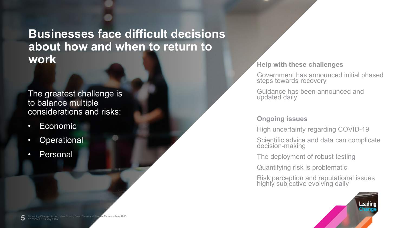## **Businesses face difficult decisions about how and when to return to WORK Help with these challenges**

#### The greatest challenge is to balance multiple considerations and risks:

- Economic
- Operational
- **Personal**

Government has announced initial phased steps towards recovery

Guidance has been announced and updated daily

#### **Ongoing issues**

High uncertainty regarding COVID-19

Scientific advice and data can complicate decision-making

The deployment of robust testing

Quantifying risk is problematic

Risk perception and reputational issues highly subjective evolving daily

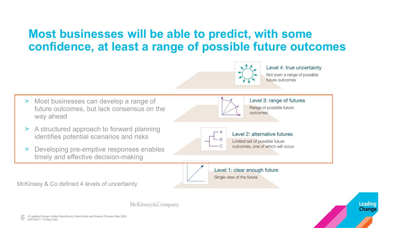## **Most businesses will be able to predict, with some confidence, at least a range of possible future outcomes**



Level 4: true uncertainty Not even a range of possible future outcomes

Leading

**Change** 

Level 3: range of futures > Most businesses can develop a range of Range of possible future future outcomes, but lack consensus on the outcomes way ahead > A structured approach to forward planning Level 2: alternative futures identifies potential scenarios and risks Limited set of possible future outcomes, one of which will occur > Developing pre-emptive responses enables timely and effective decision-making Level 1: clear enough future Single view of the future McKinsey & Co defined 4 levels of uncertainty

McKinsey&Company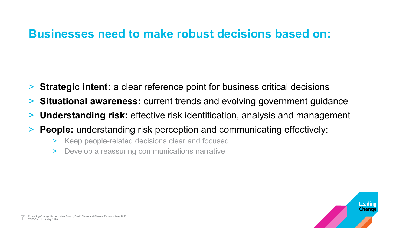#### **Businesses need to make robust decisions based on:**

- > **Strategic intent:** a clear reference point for business critical decisions
- > **Situational awareness:** current trends and evolving government guidance
- > **Understanding risk:** effective risk identification, analysis and management
- > **People:** understanding risk perception and communicating effectively:
	- > Keep people-related decisions clear and focused
	- > Develop a reassuring communications narrative

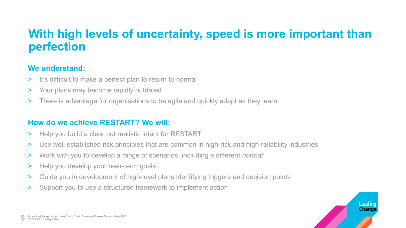## **With high levels of uncertainty, speed is more important than perfection**

#### **We understand:**

- > It's difficult to make a perfect plan to return to normal
- > Your plans may become rapidly outdated
- > There is advantage for organisations to be agile and quickly adapt as they learn

#### **How do we achieve RESTART? We will:**

- > Help you build a clear but realistic intent for RESTART
- > Use well established risk principles that are common in high-risk and high-reliability industries
- > Work with you to develop a range of scenarios, including a different *normal*
- > Help you develop your near-term goals
- > Guide you in development of high-level plans identifying triggers and decision points
- > Support you to use a structured framework to implement action

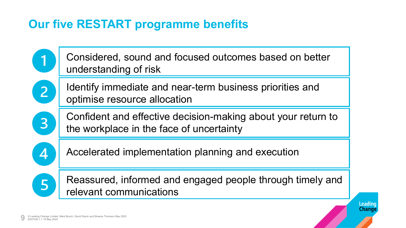## **Our five RESTART programme benefits**



Leading Change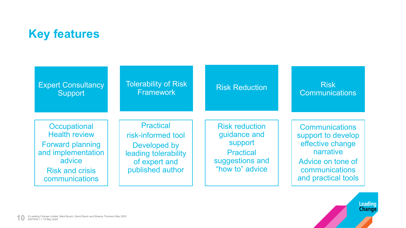## **Key features**

| <b>Expert Consultancy</b>                                                                                                                   | <b>Tolerability of Risk</b>                                                                                         | <b>Risk Reduction</b>                                                                                      | <b>Risk</b>                                                                                                                                |
|---------------------------------------------------------------------------------------------------------------------------------------------|---------------------------------------------------------------------------------------------------------------------|------------------------------------------------------------------------------------------------------------|--------------------------------------------------------------------------------------------------------------------------------------------|
| <b>Support</b>                                                                                                                              | <b>Framework</b>                                                                                                    |                                                                                                            | <b>Communications</b>                                                                                                                      |
| Occupational<br><b>Health review</b><br><b>Forward planning</b><br>and implementation<br>advice<br><b>Risk and crisis</b><br>communications | <b>Practical</b><br>risk-informed tool<br>Developed by<br>leading tolerability<br>of expert and<br>published author | <b>Risk reduction</b><br>guidance and<br>support<br><b>Practical</b><br>suggestions and<br>"how to" advice | <b>Communications</b><br>support to develop<br>effective change<br>narrative<br>Advice on tone of<br>communications<br>and practical tools |

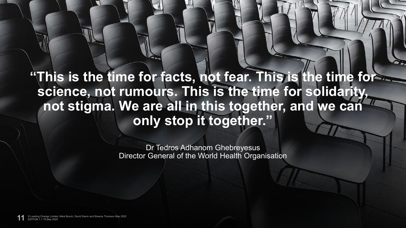## **"This is the time for facts, not fear. This is the time for science, not rumours. This is the time for solidarity, not stigma. We are all in this together, and we can only stop it together."**

Dr Tedros Adhanom Ghebreyesus Director General of the World Health Organisation